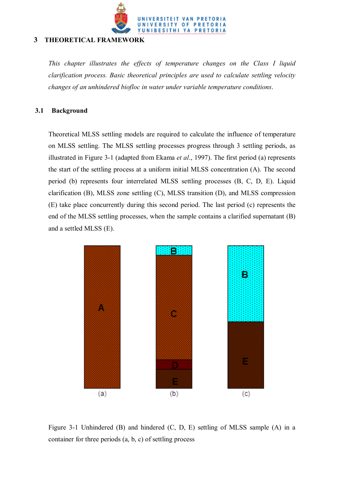

### **3 THEORETICAL FRAMEWORK**

*This chapter illustrates the effects of temperature changes on the Class I liquid clarification process. Basic theoretical principles are used to calculate settling velocity changes of an unhindered biofloc in water under variable temperature conditions*.

### **3.1 Background**

Theoretical MLSS settling models are required to calculate the influence of temperature on MLSS settling. The MLSS settling processes progress through 3 settling periods, as illustrated in Figure 3-1 (adapted from Ekama *et al*., 1997). The first period (a) represents the start of the settling process at a uniform initial MLSS concentration (A). The second period (b) represents four interrelated MLSS settling processes (B, C, D, E). Liquid clarification (B), MLSS zone settling (C), MLSS transition (D), and MLSS compression (E) take place concurrently during this second period. The last period (c) represents the end of the MLSS settling processes, when the sample contains a clarified supernatant (B) and a settled MLSS (E).



Figure 3-1 Unhindered (B) and hindered (C, D, E) settling of MLSS sample (A) in a container for three periods (a, b, c) of settling process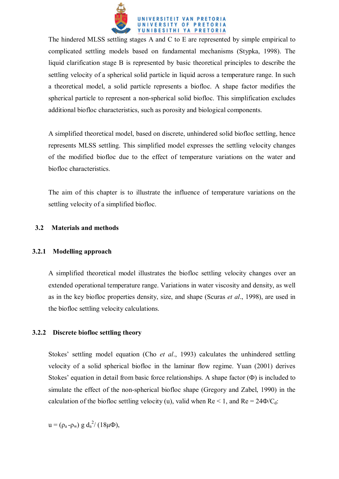

The hindered MLSS settling stages A and C to E are represented by simple empirical to complicated settling models based on fundamental mechanisms (Stypka, 1998). The liquid clarification stage B is represented by basic theoretical principles to describe the settling velocity of a spherical solid particle in liquid across a temperature range. In such a theoretical model, a solid particle represents a biofloc. A shape factor modifies the spherical particle to represent a non-spherical solid biofloc. This simplification excludes additional biofloc characteristics, such as porosity and biological components.

A simplified theoretical model, based on discrete, unhindered solid biofloc settling, hence represents MLSS settling. This simplified model expresses the settling velocity changes of the modified biofloc due to the effect of temperature variations on the water and biofloc characteristics.

The aim of this chapter is to illustrate the influence of temperature variations on the settling velocity of a simplified biofloc.

### **3.2 Materials and methods**

# **3.2.1 Modelling approach**

A simplified theoretical model illustrates the biofloc settling velocity changes over an extended operational temperature range. Variations in water viscosity and density, as well as in the key biofloc properties density, size, and shape (Scuras *et al*., 1998), are used in the biofloc settling velocity calculations.

# **3.2.2 Discrete biofloc settling theory**

Stokes' settling model equation (Cho *et al*., 1993) calculates the unhindered settling velocity of a solid spherical biofloc in the laminar flow regime. Yuan (2001) derives Stokes' equation in detail from basic force relationships. A shape factor  $(\Phi)$  is included to simulate the effect of the non-spherical biofloc shape (Gregory and Zabel, 1990) in the calculation of the biofloc settling velocity (u), valid when  $Re < 1$ , and  $Re = 24\Phi/C_d$ :

 $u = (\rho_a - \rho_w) g d_a^2 / (18 \mu \Phi),$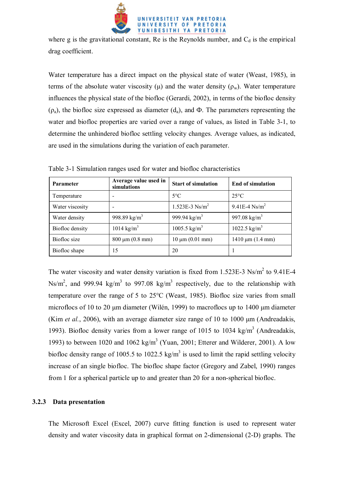

where g is the gravitational constant, Re is the Reynolds number, and  $C_d$  is the empirical drag coefficient.

Water temperature has a direct impact on the physical state of water (Weast, 1985), in terms of the absolute water viscosity ( $\mu$ ) and the water density ( $\rho_w$ ). Water temperature influences the physical state of the biofloc (Gerardi, 2002), in terms of the biofloc density  $(\rho_a)$ , the biofloc size expressed as diameter  $(d_a)$ , and  $\Phi$ . The parameters representing the water and biofloc properties are varied over a range of values, as listed in Table 3-1, to determine the unhindered biofloc settling velocity changes. Average values, as indicated, are used in the simulations during the variation of each parameter.

| <b>Parameter</b> | Average value used in<br>simulations | <b>Start of simulation</b>   | <b>End of simulation</b> |
|------------------|--------------------------------------|------------------------------|--------------------------|
| Temperature      |                                      | $5^{\circ}$ C                | $25^{\circ}C$            |
| Water viscosity  |                                      | $1.523E-3$ Ns/m <sup>2</sup> | 9.41E-4 $Ns/m^2$         |
| Water density    | 998.89 kg/m <sup>3</sup>             | 999.94 $\text{kg/m}^3$       | 997.08 kg/m <sup>3</sup> |
| Biofloc density  | 1014 kg/m <sup>3</sup>               | $1005.5 \text{ kg/m}^3$      | $1022.5 \text{ kg/m}^3$  |
| Biofloc size     | $800 \mu m (0.8 mm)$                 | $10 \mu m (0.01 mm)$         | $1410 \mu m (1.4 mm)$    |
| Biofloc shape    | 15                                   | 20                           |                          |

Table 3-1 Simulation ranges used for water and biofloc characteristics

The water viscosity and water density variation is fixed from 1.523E-3 Ns/ $m^2$  to 9.41E-4 Ns/m<sup>2</sup>, and 999.94 kg/m<sup>3</sup> to 997.08 kg/m<sup>3</sup> respectively, due to the relationship with temperature over the range of 5 to 25°C (Weast, 1985). Biofloc size varies from small microflocs of 10 to 20 µm diameter (Wilén, 1999) to macroflocs up to 1400 µm diameter (Kim *et al.*, 2006), with an average diameter size range of 10 to 1000 µm (Andreadakis, 1993). Biofloc density varies from a lower range of 1015 to 1034 kg/m<sup>3</sup> (Andreadakis, 1993) to between 1020 and 1062 kg/m<sup>3</sup> (Yuan, 2001; Etterer and Wilderer, 2001). A low biofloc density range of 1005.5 to 1022.5 kg/m<sup>3</sup> is used to limit the rapid settling velocity increase of an single biofloc. The biofloc shape factor (Gregory and Zabel, 1990) ranges from 1 for a spherical particle up to and greater than 20 for a non-spherical biofloc.

# **3.2.3 Data presentation**

The Microsoft Excel (Excel, 2007) curve fitting function is used to represent water density and water viscosity data in graphical format on 2-dimensional (2-D) graphs. The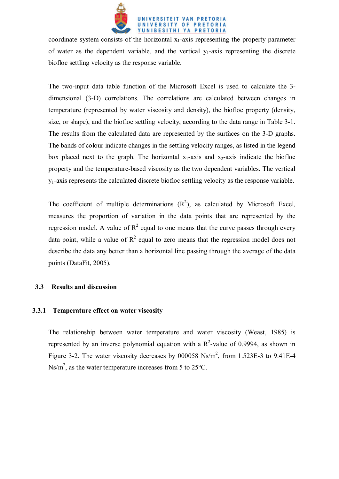

coordinate system consists of the horizontal  $x_1$ -axis representing the property parameter of water as the dependent variable, and the vertical  $y_1$ -axis representing the discrete biofloc settling velocity as the response variable.

The two-input data table function of the Microsoft Excel is used to calculate the 3 dimensional (3-D) correlations. The correlations are calculated between changes in temperature (represented by water viscosity and density), the biofloc property (density, size, or shape), and the biofloc settling velocity, according to the data range in Table 3-1. The results from the calculated data are represented by the surfaces on the 3-D graphs. The bands of colour indicate changes in the settling velocity ranges, as listed in the legend box placed next to the graph. The horizontal  $x_1$ -axis and  $x_2$ -axis indicate the biofloc property and the temperature-based viscosity as the two dependent variables. The vertical  $y_1$ -axis represents the calculated discrete biofloc settling velocity as the response variable.

The coefficient of multiple determinations  $(R^2)$ , as calculated by Microsoft Excel, measures the proportion of variation in the data points that are represented by the regression model. A value of  $R^2$  equal to one means that the curve passes through every data point, while a value of  $R^2$  equal to zero means that the regression model does not describe the data any better than a horizontal line passing through the average of the data points (DataFit, 2005).

### **3.3 Results and discussion**

### **3.3.1 Temperature effect on water viscosity**

The relationship between water temperature and water viscosity (Weast, 1985) is represented by an inverse polynomial equation with a  $R^2$ -value of 0.9994, as shown in Figure 3-2. The water viscosity decreases by  $000058 \text{ Ns/m}^2$ , from 1.523E-3 to 9.41E-4 Ns/m<sup>2</sup>, as the water temperature increases from 5 to 25 $^{\circ}$ C.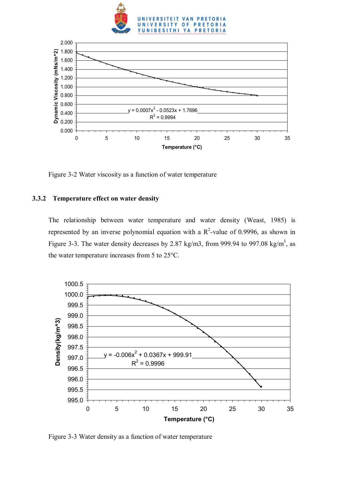



Figure 3-2 Water viscosity as a function of water temperature

# **3.3.2 Temperature effect on water density**

The relationship between water temperature and water density (Weast, 1985) is represented by an inverse polynomial equation with a  $R^2$ -value of 0.9996, as shown in Figure 3-3. The water density decreases by 2.87 kg/m3, from 999.94 to 997.08 kg/m<sup>3</sup>, as the water temperature increases from 5 to 25°C.



Figure 3-3 Water density as a function of water temperature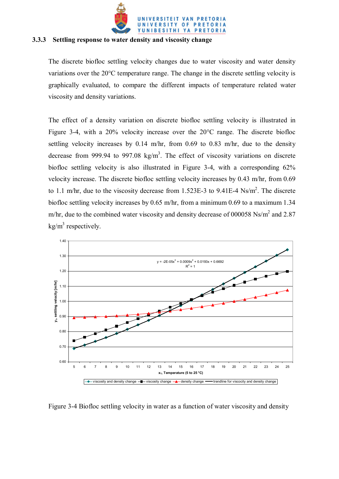

#### **3.3.3 Settling response to water density and viscosity change**

The discrete biofloc settling velocity changes due to water viscosity and water density variations over the 20°C temperature range. The change in the discrete settling velocity is graphically evaluated, to compare the different impacts of temperature related water viscosity and density variations.

The effect of a density variation on discrete biofloc settling velocity is illustrated in Figure 3-4, with a 20% velocity increase over the 20°C range. The discrete biofloc settling velocity increases by 0.14 m/hr, from 0.69 to 0.83 m/hr, due to the density decrease from 999.94 to 997.08  $\text{kg/m}^3$ . The effect of viscosity variations on discrete biofloc settling velocity is also illustrated in Figure 3-4, with a corresponding 62% velocity increase. The discrete biofloc settling velocity increases by 0.43 m/hr, from 0.69 to 1.1 m/hr, due to the viscosity decrease from 1.523E-3 to 9.41E-4  $Ns/m^2$ . The discrete biofloc settling velocity increases by 0.65 m/hr, from a minimum 0.69 to a maximum 1.34 m/hr, due to the combined water viscosity and density decrease of 000058 Ns/ $m<sup>2</sup>$  and 2.87  $\text{kg/m}^3$  respectively.



Figure 3-4 Biofloc settling velocity in water as a function of water viscosity and density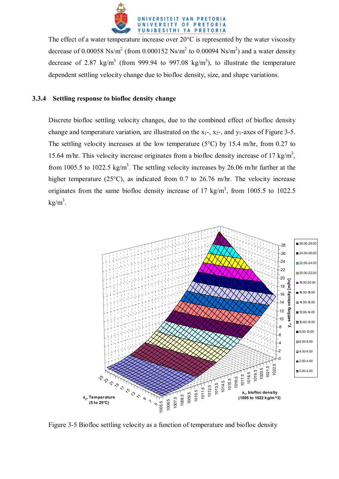

The effect of a water temperature increase over  $20^{\circ}$ C is represented by the water viscosity decrease of 0.00058 Ns/m<sup>2</sup> (from 0.000152 Ns/m<sup>2</sup> to 0.00094 Ns/m<sup>2</sup>) and a water density decrease of 2.87 kg/m<sup>3</sup> (from 999.94 to 997.08 kg/m<sup>3</sup>), to illustrate the temperature dependent settling velocity change due to biofloc density, size, and shape variations.

### **3.3.4 Settling response to biofloc density change**

Discrete biofloc settling velocity changes, due to the combined effect of biofloc density change and temperature variation, are illustrated on the  $x_1$ -,  $x_2$ -, and  $y_1$ -axes of Figure 3-5. The settling velocity increases at the low temperature ( $5^{\circ}$ C) by 15.4 m/hr, from 0.27 to 15.64 m/hr. This velocity increase originates from a biofloc density increase of 17 kg/m<sup>3</sup>, from 1005.5 to 1022.5 kg/m<sup>3</sup>. The settling velocity increases by 26.06 m/hr further at the higher temperature (25<sup>o</sup>C), as indicated from 0.7 to 26.76 m/hr. The velocity increase originates from the same biofloc density increase of 17 kg/m<sup>3</sup>, from 1005.5 to 1022.5  $kg/m<sup>3</sup>$ .



Figure 3-5 Biofloc settling velocity as a function of temperature and biofloc density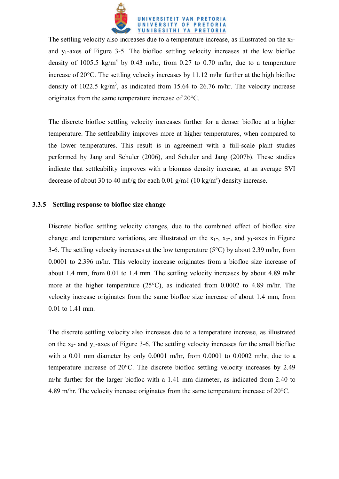

The settling velocity also increases due to a temperature increase, as illustrated on the  $x_2$ and  $y_1$ -axes of Figure 3-5. The biofloc settling velocity increases at the low biofloc density of 1005.5 kg/m<sup>3</sup> by 0.43 m/hr, from 0.27 to 0.70 m/hr, due to a temperature increase of 20°C. The settling velocity increases by 11.12 m/hr further at the high biofloc density of 1022.5 kg/m<sup>3</sup>, as indicated from 15.64 to 26.76 m/hr. The velocity increase originates from the same temperature increase of 20°C.

The discrete biofloc settling velocity increases further for a denser biofloc at a higher temperature. The settleability improves more at higher temperatures, when compared to the lower temperatures. This result is in agreement with a full-scale plant studies performed by Jang and Schuler (2006), and Schuler and Jang (2007b). These studies indicate that settleability improves with a biomass density increase, at an average SVI decrease of about 30 to 40 ml/g for each 0.01 g/ml (10 kg/m<sup>3</sup>) density increase.

#### **3.3.5 Settling response to biofloc size change**

Discrete biofloc settling velocity changes, due to the combined effect of biofloc size change and temperature variations, are illustrated on the  $x_1$ -,  $x_2$ -, and  $y_1$ -axes in Figure 3-6. The settling velocity increases at the low temperature ( $5^{\circ}$ C) by about 2.39 m/hr, from 0.0001 to 2.396 m/hr. This velocity increase originates from a biofloc size increase of about 1.4 mm, from 0.01 to 1.4 mm. The settling velocity increases by about 4.89 m/hr more at the higher temperature (25°C), as indicated from 0.0002 to 4.89 m/hr. The velocity increase originates from the same biofloc size increase of about 1.4 mm, from 0.01 to 1.41 mm.

The discrete settling velocity also increases due to a temperature increase, as illustrated on the  $x_2$ - and  $y_1$ -axes of Figure 3-6. The settling velocity increases for the small biofloc with a  $0.01$  mm diameter by only  $0.0001$  m/hr, from  $0.0001$  to  $0.0002$  m/hr, due to a temperature increase of 20°C. The discrete biofloc settling velocity increases by 2.49 m/hr further for the larger biofloc with a 1.41 mm diameter, as indicated from 2.40 to 4.89 m/hr. The velocity increase originates from the same temperature increase of 20°C.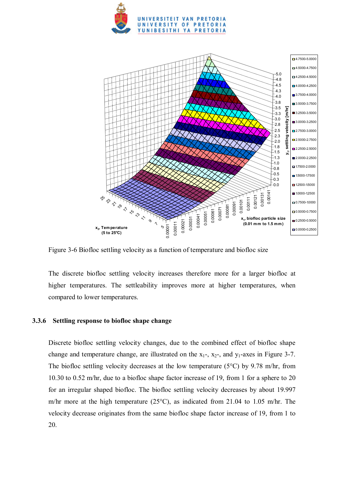



Figure 3-6 Biofloc settling velocity as a function of temperature and biofloc size

The discrete biofloc settling velocity increases therefore more for a larger biofloc at higher temperatures. The settleability improves more at higher temperatures, when compared to lower temperatures.

### **3.3.6 Settling response to biofloc shape change**

Discrete biofloc settling velocity changes, due to the combined effect of biofloc shape change and temperature change, are illustrated on the  $x_1$ -,  $x_2$ -, and  $y_1$ -axes in Figure 3-7. The biofloc settling velocity decreases at the low temperature ( $5^{\circ}$ C) by 9.78 m/hr, from 10.30 to 0.52 m/hr, due to a biofloc shape factor increase of 19, from 1 for a sphere to 20 for an irregular shaped biofloc. The biofloc settling velocity decreases by about 19.997 m/hr more at the high temperature (25°C), as indicated from 21.04 to 1.05 m/hr. The velocity decrease originates from the same biofloc shape factor increase of 19, from 1 to 20.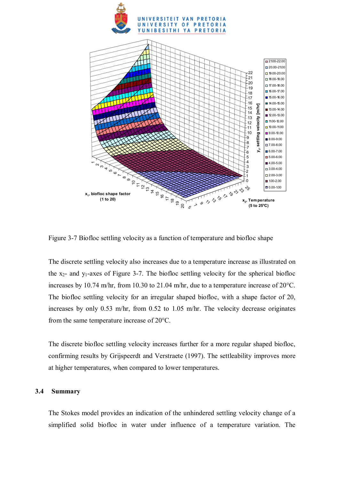



Figure 3-7 Biofloc settling velocity as a function of temperature and biofloc shape

The discrete settling velocity also increases due to a temperature increase as illustrated on the  $x_2$ - and  $y_1$ -axes of Figure 3-7. The biofloc settling velocity for the spherical biofloc increases by 10.74 m/hr, from 10.30 to 21.04 m/hr, due to a temperature increase of 20°C. The biofloc settling velocity for an irregular shaped biofloc, with a shape factor of 20, increases by only 0.53 m/hr, from 0.52 to 1.05 m/hr. The velocity decrease originates from the same temperature increase of 20°C.

The discrete biofloc settling velocity increases further for a more regular shaped biofloc, confirming results by Grijspeerdt and Verstraete (1997). The settleability improves more at higher temperatures, when compared to lower temperatures.

#### **3.4 Summary**

The Stokes model provides an indication of the unhindered settling velocity change of a simplified solid biofloc in water under influence of a temperature variation. The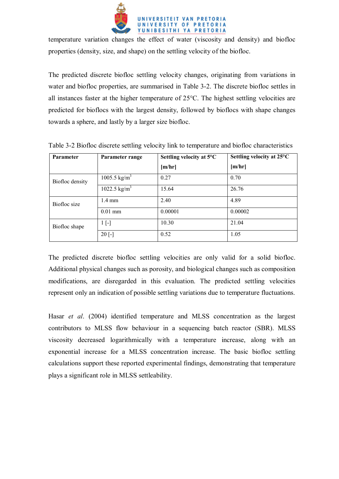

temperature variation changes the effect of water (viscosity and density) and biofloc properties (density, size, and shape) on the settling velocity of the biofloc.

The predicted discrete biofloc settling velocity changes, originating from variations in water and biofloc properties, are summarised in Table 3-2. The discrete biofloc settles in all instances faster at the higher temperature of 25°C. The highest settling velocities are predicted for bioflocs with the largest density, followed by bioflocs with shape changes towards a sphere, and lastly by a larger size biofloc.

| Parameter       | Parameter range          | Settling velocity at 5°C | Settling velocity at 25°C |
|-----------------|--------------------------|--------------------------|---------------------------|
|                 |                          | [m/hr]                   | [m/hr]                    |
| Biofloc density | 1005.5 kg/m <sup>3</sup> | 0.27                     | 0.70                      |
|                 | 1022.5 kg/m <sup>3</sup> | 15.64                    | 26.76                     |
| Biofloc size    | $1.4 \text{ mm}$         | 2.40                     | 4.89                      |
|                 | $0.01$ mm                | 0.00001                  | 0.00002                   |
| Biofloc shape   | $1$ [-]                  | 10.30                    | 21.04                     |
|                 | $20$ [-]                 | 0.52                     | 1.05                      |

Table 3-2 Biofloc discrete settling velocity link to temperature and biofloc characteristics

The predicted discrete biofloc settling velocities are only valid for a solid biofloc. Additional physical changes such as porosity, and biological changes such as composition modifications, are disregarded in this evaluation. The predicted settling velocities represent only an indication of possible settling variations due to temperature fluctuations.

Hasar *et al*. (2004) identified temperature and MLSS concentration as the largest contributors to MLSS flow behaviour in a sequencing batch reactor (SBR). MLSS viscosity decreased logarithmically with a temperature increase, along with an exponential increase for a MLSS concentration increase. The basic biofloc settling calculations support these reported experimental findings, demonstrating that temperature plays a significant role in MLSS settleability.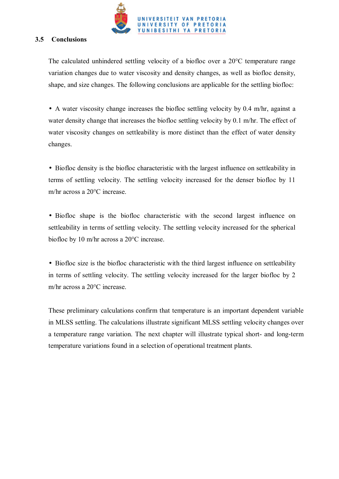

### **3.5 Conclusions**

The calculated unhindered settling velocity of a biofloc over a 20°C temperature range variation changes due to water viscosity and density changes, as well as biofloc density, shape, and size changes. The following conclusions are applicable for the settling biofloc:

• A water viscosity change increases the biofloc settling velocity by 0.4 m/hr, against a water density change that increases the biofloc settling velocity by 0.1 m/hr. The effect of water viscosity changes on settleability is more distinct than the effect of water density changes.

• Biofloc density is the biofloc characteristic with the largest influence on settleability in terms of settling velocity. The settling velocity increased for the denser biofloc by 11 m/hr across a 20°C increase.

• Biofloc shape is the biofloc characteristic with the second largest influence on settleability in terms of settling velocity. The settling velocity increased for the spherical biofloc by 10 m/hr across a 20°C increase.

• Biofloc size is the biofloc characteristic with the third largest influence on settleability in terms of settling velocity. The settling velocity increased for the larger biofloc by 2 m/hr across a 20°C increase.

These preliminary calculations confirm that temperature is an important dependent variable in MLSS settling. The calculations illustrate significant MLSS settling velocity changes over a temperature range variation. The next chapter will illustrate typical short- and long-term temperature variations found in a selection of operational treatment plants.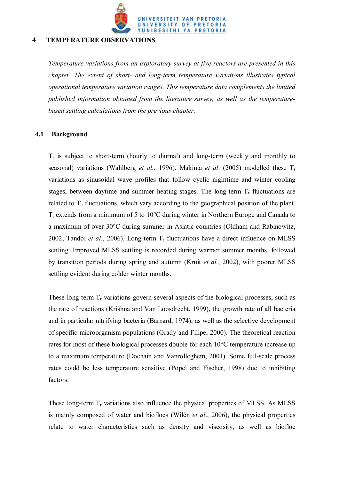

### **4 TEMPERATURE OBSERVATIONS**

*Temperature variations from an exploratory survey at five reactors are presented in this chapter. The extent of short- and long-term temperature variations illustrates typical operational temperature variation ranges. This temperature data complements the limited published information obtained from the literature survey, as well as the temperaturebased settling calculations from the previous chapter.*

### **4.1 Background**

 $T_r$  is subject to short-term (hourly to diurnal) and long-term (weekly and monthly to seasonal) variations (Wahlberg *et al.*, 1996). Makinia *et al*. (2005) modelled these Tr variations as sinusoidal wave profiles that follow cyclic nighttime and winter cooling stages, between daytime and summer heating stages. The long-term  $T_r$  fluctuations are related to  $T_a$  fluctuations, which vary according to the geographical position of the plant.  $T_r$  extends from a minimum of 5 to 10 $^{\circ}$ C during winter in Northern Europe and Canada to a maximum of over 30°C during summer in Asiatic countries (Oldham and Rabinowitz, 2002; Tandoi *et al.*, 2006). Long-term  $T_r$  fluctuations have a direct influence on MLSS settling. Improved MLSS settling is recorded during warmer summer months, followed by transition periods during spring and autumn (Kruit *et al.*, 2002), with poorer MLSS settling evident during colder winter months.

These long-term  $T_r$  variations govern several aspects of the biological processes, such as the rate of reactions (Krishna and Van Loosdrecht, 1999), the growth rate of all bacteria and in particular nitrifying bacteria (Barnard, 1974), as well as the selective development of specific microorganism populations (Grady and Filipe, 2000). The theoretical reaction rates for most of these biological processes double for each 10°C temperature increase up to a maximum temperature (Dochain and Vanrolleghem, 2001). Some full-scale process rates could be less temperature sensitive (Pöpel and Fischer, 1998) due to inhibiting factors.

These long-term  $T_r$  variations also influence the physical properties of MLSS. As MLSS is mainly composed of water and bioflocs (Wilén *et al*., 2006), the physical properties relate to water characteristics such as density and viscosity, as well as biofloc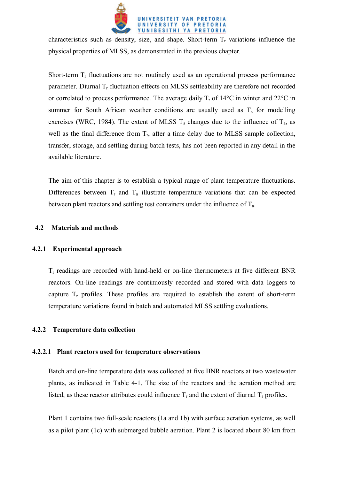

characteristics such as density, size, and shape. Short-term  $T_r$  variations influence the physical properties of MLSS, as demonstrated in the previous chapter.

Short-term  $T_r$  fluctuations are not routinely used as an operational process performance parameter. Diurnal  $T_r$  fluctuation effects on MLSS settleability are therefore not recorded or correlated to process performance. The average daily  $T_r$  of 14 $\rm ^{\circ}C$  in winter and 22 $\rm ^{\circ}C$  in summer for South African weather conditions are usually used as  $T_s$  for modelling exercises (WRC, 1984). The extent of MLSS  $T_s$  changes due to the influence of  $T_a$ , as well as the final difference from  $T_r$ , after a time delay due to MLSS sample collection, transfer, storage, and settling during batch tests, has not been reported in any detail in the available literature.

The aim of this chapter is to establish a typical range of plant temperature fluctuations. Differences between  $T_r$  and  $T_a$  illustrate temperature variations that can be expected between plant reactors and settling test containers under the influence of  $T_a$ .

### **4.2 Materials and methods**

### **4.2.1 Experimental approach**

 $T_r$  readings are recorded with hand-held or on-line thermometers at five different BNR reactors. On-line readings are continuously recorded and stored with data loggers to capture  $T_r$  profiles. These profiles are required to establish the extent of short-term temperature variations found in batch and automated MLSS settling evaluations.

### **4.2.2 Temperature data collection**

### **4.2.2.1 Plant reactors used for temperature observations**

Batch and on-line temperature data was collected at five BNR reactors at two wastewater plants, as indicated in Table 4-1. The size of the reactors and the aeration method are listed, as these reactor attributes could influence  $T_r$  and the extent of diurnal  $T_r$  profiles.

Plant 1 contains two full-scale reactors (1a and 1b) with surface aeration systems, as well as a pilot plant (1c) with submerged bubble aeration. Plant 2 is located about 80 km from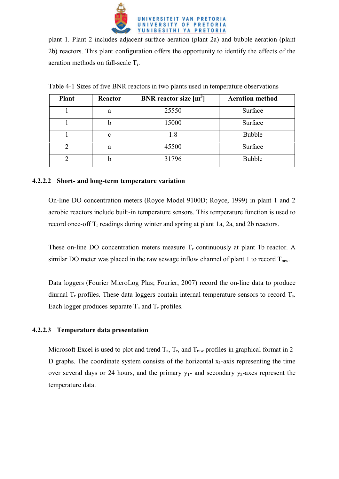

plant 1. Plant 2 includes adjacent surface aeration (plant 2a) and bubble aeration (plant 2b) reactors. This plant configuration offers the opportunity to identify the effects of the aeration methods on full-scale Tr.

| <b>Plant</b> | Reactor     | <b>BNR</b> reactor size $[m^3]$ | <b>Aeration method</b> |
|--------------|-------------|---------------------------------|------------------------|
|              | a           | 25550                           | Surface                |
|              | b           | 15000                           | Surface                |
|              | $\mathbf c$ | 1.8                             | <b>Bubble</b>          |
|              | a           | 45500                           | Surface                |
|              | n           | 31796                           | <b>Bubble</b>          |

Table 4-1 Sizes of five BNR reactors in two plants used in temperature observations

### **4.2.2.2 Short- and long-term temperature variation**

On-line DO concentration meters (Royce Model 9100D; Royce, 1999) in plant 1 and 2 aerobic reactors include built-in temperature sensors. This temperature function is used to record once-off  $T_r$  readings during winter and spring at plant 1a, 2a, and 2b reactors.

These on-line DO concentration meters measure  $T_r$  continuously at plant 1b reactor. A similar DO meter was placed in the raw sewage inflow channel of plant 1 to record  $T_{\text{raw}}$ .

Data loggers (Fourier MicroLog Plus; Fourier, 2007) record the on-line data to produce diurnal  $T_r$  profiles. These data loggers contain internal temperature sensors to record  $T_a$ . Each logger produces separate  $T_a$  and  $T_r$  profiles.

# **4.2.2.3 Temperature data presentation**

Microsoft Excel is used to plot and trend  $T_a$ ,  $T_r$ , and  $T_{raw}$  profiles in graphical format in 2-D graphs. The coordinate system consists of the horizontal  $x_1$ -axis representing the time over several days or 24 hours, and the primary  $y_1$ - and secondary  $y_2$ -axes represent the temperature data.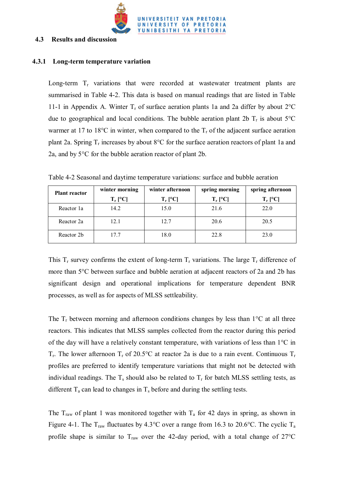

### **4.3 Results and discussion**

#### **4.3.1 Long-term temperature variation**

Long-term  $T_r$  variations that were recorded at wastewater treatment plants are summarised in Table 4-2. This data is based on manual readings that are listed in Table 11-1 in Appendix A. Winter  $T_r$  of surface aeration plants 1a and 2a differ by about  $2^{\circ}C$ due to geographical and local conditions. The bubble aeration plant 2b  $T_r$  is about 5°C warmer at 17 to 18 $\degree$ C in winter, when compared to the  $T_r$  of the adjacent surface aeration plant 2a. Spring  $T_r$  increases by about 8°C for the surface aeration reactors of plant 1a and 2a, and by 5°C for the bubble aeration reactor of plant 2b.

Table 4-2 Seasonal and daytime temperature variations: surface and bubble aeration

| <b>Plant reactor</b> | winter morning          | winter afternoon | spring morning          | spring afternoon |
|----------------------|-------------------------|------------------|-------------------------|------------------|
|                      | $T_r$ [ <sup>o</sup> C] | $T_r$ [°C]       | $T_r$ [ <sup>o</sup> C] | $T_r$ [°C]       |
| Reactor 1a           | 14.2                    | 15.0             | 21.6                    | 22.0             |
| Reactor 2a           | 12.1                    | 12.7             | 20.6                    | 20.5             |
| Reactor 2b           | 17.7                    | 18.0             | 22.8                    | 23.0             |

This  $T_r$  survey confirms the extent of long-term  $T_r$  variations. The large  $T_r$  difference of more than 5°C between surface and bubble aeration at adjacent reactors of 2a and 2b has significant design and operational implications for temperature dependent BNR processes, as well as for aspects of MLSS settleability.

The  $T_r$  between morning and afternoon conditions changes by less than  $1^{\circ}C$  at all three reactors. This indicates that MLSS samples collected from the reactor during this period of the day will have a relatively constant temperature, with variations of less than 1°C in  $T_r$ . The lower afternoon  $T_r$  of 20.5°C at reactor 2a is due to a rain event. Continuous  $T_r$ profiles are preferred to identify temperature variations that might not be detected with individual readings. The  $T_s$  should also be related to  $T_r$  for batch MLSS settling tests, as different  $T_a$  can lead to changes in  $T_s$  before and during the settling tests.

The  $T_{raw}$  of plant 1 was monitored together with  $T_a$  for 42 days in spring, as shown in Figure 4-1. The  $T_{raw}$  fluctuates by 4.3°C over a range from 16.3 to 20.6°C. The cyclic  $T_a$ profile shape is similar to  $T_{\text{raw}}$  over the 42-day period, with a total change of  $27^{\circ}\text{C}$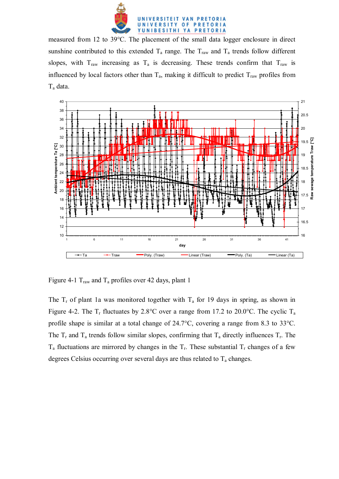

measured from 12 to 39°C. The placement of the small data logger enclosure in direct sunshine contributed to this extended  $T_a$  range. The  $T_{raw}$  and  $T_a$  trends follow different slopes, with  $T_{raw}$  increasing as  $T_a$  is decreasing. These trends confirm that  $T_{raw}$  is influenced by local factors other than  $T_a$ , making it difficult to predict  $T_{raw}$  profiles from Ta data.



Figure 4-1  $T_{\text{raw}}$  and  $T_a$  profiles over 42 days, plant 1

The  $T_r$  of plant 1a was monitored together with  $T_a$  for 19 days in spring, as shown in Figure 4-2. The  $T_r$  fluctuates by 2.8°C over a range from 17.2 to 20.0°C. The cyclic  $T_a$ profile shape is similar at a total change of 24.7°C, covering a range from 8.3 to 33°C. The  $T_r$  and  $T_a$  trends follow similar slopes, confirming that  $T_a$  directly influences  $T_r$ . The  $T_a$  fluctuations are mirrored by changes in the  $T_r$ . These substantial  $T_r$  changes of a few degrees Celsius occurring over several days are thus related to  $T_a$  changes.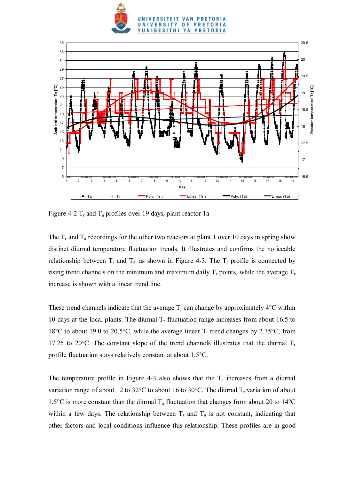



Figure 4-2  $T_r$  and  $T_a$  profiles over 19 days, plant reactor 1a

The  $T_r$  and  $T_a$  recordings for the other two reactors at plant 1 over 10 days in spring show distinct diurnal temperature fluctuation trends. It illustrates and confirms the noticeable relationship between  $T_r$  and  $T_a$  as shown in Figure 4-3. The  $T_r$  profile is connected by rising trend channels on the minimum and maximum daily  $T_r$  points, while the average  $T_r$ increase is shown with a linear trend line.

These trend channels indicate that the average  $T_r$  can change by approximately 4<sup>o</sup>C within 10 days at the local plants. The diurnal  $T_r$  fluctuation range increases from about 16.5 to 18°C to about 19.0 to 20.5°C, while the average linear  $T_r$  trend changes by 2.75°C, from 17.25 to 20 $^{\circ}$ C. The constant slope of the trend channels illustrates that the diurnal  $T_r$ profile fluctuation stays relatively constant at about 1.5°C.

The temperature profile in Figure 4-3 also shows that the  $T_a$  increases from a diurnal variation range of about 12 to 32 $^{\circ}$ C to about 16 to 30 $^{\circ}$ C. The diurnal T<sub>r</sub> variation of about 1.5°C is more constant than the diurnal  $T_a$  fluctuation that changes from about 20 to 14°C within a few days. The relationship between  $T_r$  and  $T_a$  is not constant, indicating that other factors and local conditions influence this relationship. These profiles are in good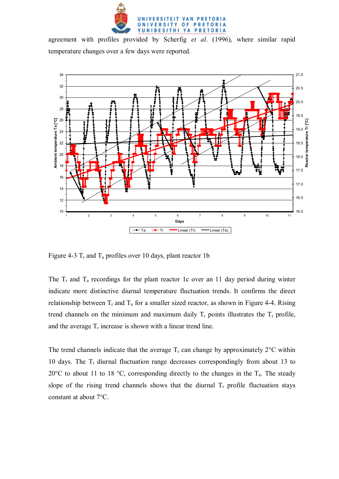

agreement with profiles provided by Scherfig *et al*. (1996), where similar rapid temperature changes over a few days were reported.



Figure 4-3  $T_r$  and  $T_a$  profiles over 10 days, plant reactor 1b

The  $T_r$  and  $T_a$  recordings for the plant reactor 1c over an 11 day period during winter indicate more distinctive diurnal temperature fluctuation trends. It confirms the direct relationship between  $T_r$  and  $T_a$  for a smaller sized reactor, as shown in Figure 4-4. Rising trend channels on the minimum and maximum daily  $T_r$  points illustrates the  $T_r$  profile, and the average  $T_r$  increase is shown with a linear trend line.

The trend channels indicate that the average  $T_r$  can change by approximately 2 $\degree$ C within 10 days. The  $T_r$  diurnal fluctuation range decreases correspondingly from about 13 to 20 $\degree$ C to about 11 to 18  $\degree$ C, corresponding directly to the changes in the T<sub>a</sub>. The steady slope of the rising trend channels shows that the diurnal  $T_r$  profile fluctuation stays constant at about 7°C.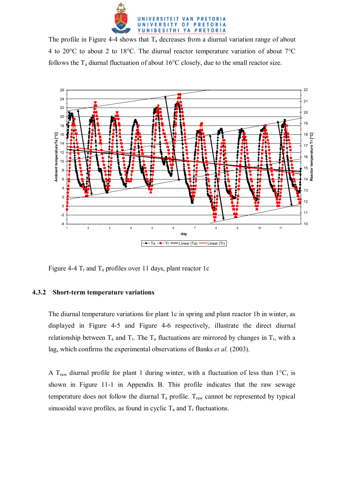

The profile in Figure 4-4 shows that  $T_a$  decreases from a diurnal variation range of about 4 to 20°C to about 2 to 18°C. The diurnal reactor temperature variation of about 7°C follows the  $T_a$  diurnal fluctuation of about 16°C closely, due to the small reactor size.



Figure 4-4  $T_r$  and  $T_a$  profiles over 11 days, plant reactor 1c

### **4.3.2 Short-term temperature variations**

The diurnal temperature variations for plant 1c in spring and plant reactor 1b in winter, as displayed in Figure 4-5 and Figure 4-6 respectively, illustrate the direct diurnal relationship between  $T_a$  and  $T_r$ . The  $T_a$  fluctuations are mirrored by changes in  $T_r$ , with a lag, which confirms the experimental observations of Banks *et al.* (2003).

A T<sub>raw</sub> diurnal profile for plant 1 during winter, with a fluctuation of less than  $1^{\circ}C$ , is shown in Figure 11-1 in Appendix B. This profile indicates that the raw sewage temperature does not follow the diurnal  $T_a$  profile.  $T_{raw}$  cannot be represented by typical sinusoidal wave profiles, as found in cyclic  $T_a$  and  $T_r$  fluctuations.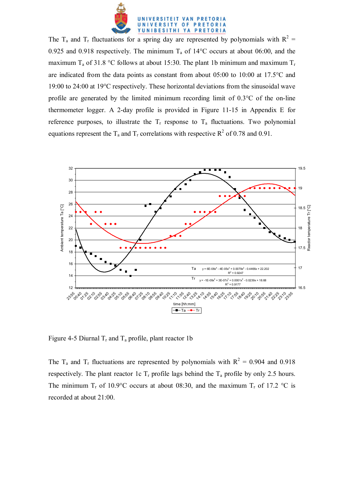

The T<sub>a</sub> and T<sub>r</sub> fluctuations for a spring day are represented by polynomials with  $R^2 =$ 0.925 and 0.918 respectively. The minimum  $T_a$  of 14°C occurs at about 06:00, and the maximum  $T_a$  of 31.8 °C follows at about 15:30. The plant 1b minimum and maximum  $T_r$ are indicated from the data points as constant from about 05:00 to 10:00 at 17.5°C and 19:00 to 24:00 at 19°C respectively. These horizontal deviations from the sinusoidal wave profile are generated by the limited minimum recording limit of 0.3°C of the on-line thermometer logger. A 2-day profile is provided in Figure 11-15 in Appendix E for reference purposes, to illustrate the  $T_r$  response to  $T_a$  fluctuations. Two polynomial equations represent the T<sub>a</sub> and T<sub>r</sub> correlations with respective R<sup>2</sup> of 0.78 and 0.91.



Figure 4-5 Diurnal  $T_r$  and  $T_a$  profile, plant reactor 1b

The T<sub>a</sub> and T<sub>r</sub> fluctuations are represented by polynomials with  $R^2 = 0.904$  and 0.918 respectively. The plant reactor 1c  $T_r$  profile lags behind the  $T_a$  profile by only 2.5 hours. The minimum T<sub>r</sub> of 10.9°C occurs at about 08:30, and the maximum T<sub>r</sub> of 17.2 °C is recorded at about 21:00.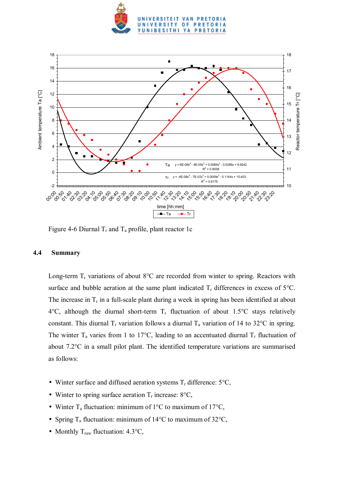



Figure 4-6 Diurnal  $T_r$  and  $T_a$  profile, plant reactor 1c

### **4.4 Summary**

Long-term  $T_r$  variations of about 8°C are recorded from winter to spring. Reactors with surface and bubble aeration at the same plant indicated  $T_r$  differences in excess of 5 $^{\circ}$ C. The increase in  $T_r$  in a full-scale plant during a week in spring has been identified at about 4°C, although the diurnal short-term  $T_r$  fluctuation of about 1.5°C stays relatively constant. This diurnal  $T_r$  variation follows a diurnal  $T_a$  variation of 14 to 32°C in spring. The winter  $T_a$  varies from 1 to 17°C, leading to an accentuated diurnal  $T_r$  fluctuation of about 7.2°C in a small pilot plant. The identified temperature variations are summarised as follows:

- Winter surface and diffused aeration systems  $T_r$  difference:  $5^{\circ}C$ ,
- Winter to spring surface aeration  $T_r$  increase: 8°C,
- Winter  $T_a$  fluctuation: minimum of 1°C to maximum of 17°C,
- Spring  $T_a$  fluctuation: minimum of 14°C to maximum of 32°C,
- Monthly  $T_{raw}$  fluctuation: 4.3 $^{\circ}C$ ,